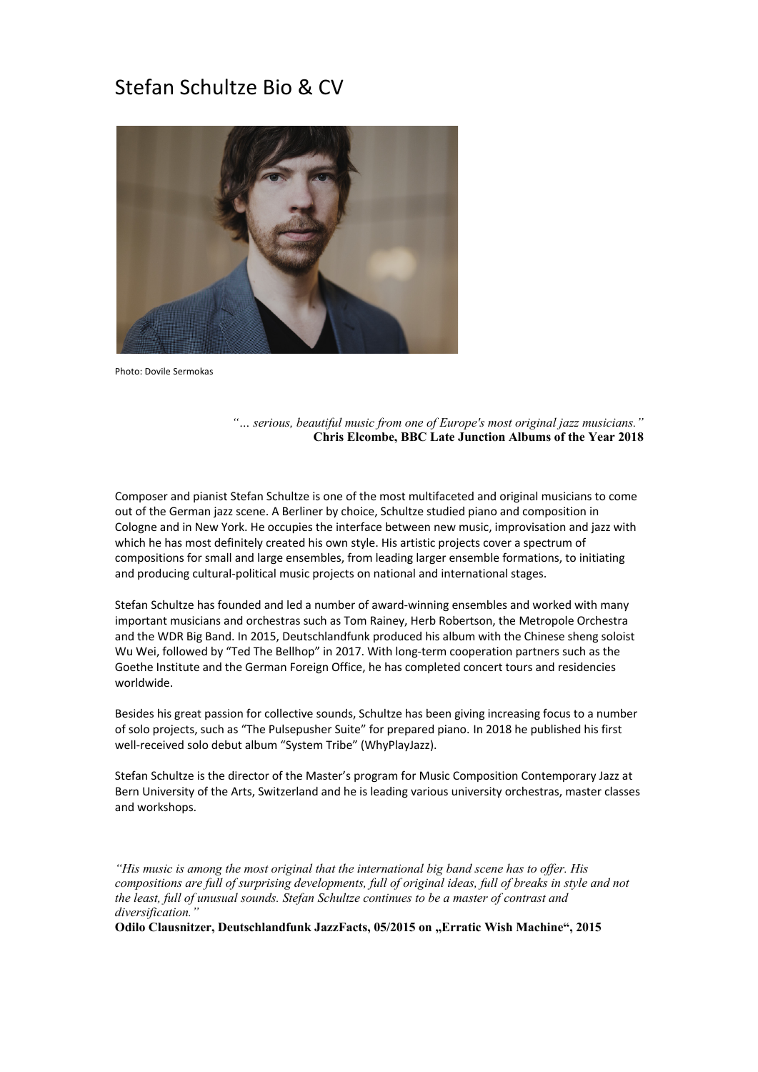# Stefan Schultze Bio & CV



Photo: Dovile Sermokas

*"… serious, beautiful music from one of Europe's most original jazz musicians."*  **Chris Elcombe, BBC Late Junction Albums of the Year 2018**

Composer and pianist Stefan Schultze is one of the most multifaceted and original musicians to come out of the German jazz scene. A Berliner by choice, Schultze studied piano and composition in Cologne and in New York. He occupies the interface between new music, improvisation and jazz with which he has most definitely created his own style. His artistic projects cover a spectrum of compositions for small and large ensembles, from leading larger ensemble formations, to initiating and producing cultural-political music projects on national and international stages.

Stefan Schultze has founded and led a number of award-winning ensembles and worked with many important musicians and orchestras such as Tom Rainey, Herb Robertson, the Metropole Orchestra and the WDR Big Band. In 2015, Deutschlandfunk produced his album with the Chinese sheng soloist Wu Wei, followed by "Ted The Bellhop" in 2017. With long-term cooperation partners such as the Goethe Institute and the German Foreign Office, he has completed concert tours and residencies worldwide.

Besides his great passion for collective sounds, Schultze has been giving increasing focus to a number of solo projects, such as "The Pulsepusher Suite" for prepared piano. In 2018 he published his first well-received solo debut album "System Tribe" (WhyPlayJazz).

Stefan Schultze is the director of the Master's program for Music Composition Contemporary Jazz at Bern University of the Arts, Switzerland and he is leading various university orchestras, master classes and workshops.

*"His music is among the most original that the international big band scene has to offer. His compositions are full of surprising developments, full of original ideas, full of breaks in style and not the least, full of unusual sounds. Stefan Schultze continues to be a master of contrast and diversification."*

**Odilo Clausnitzer, Deutschlandfunk JazzFacts, 05/2015 on "Erratic Wish Machine", 2015**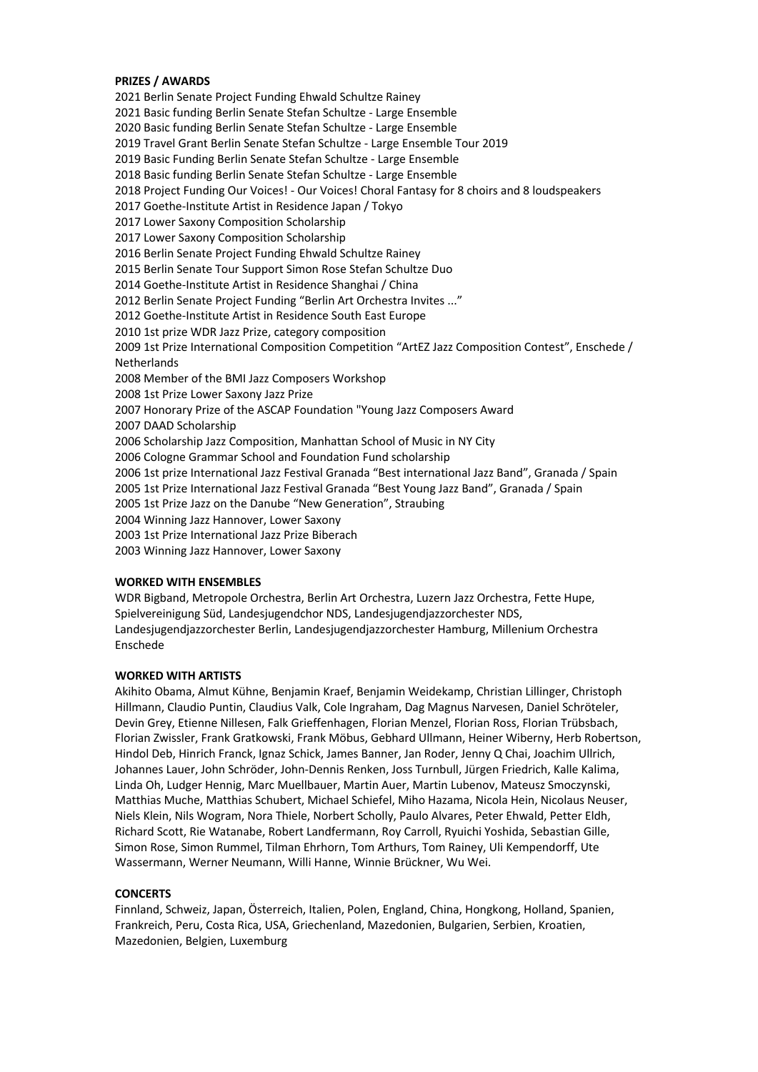# **PRIZES / AWARDS**

2021 Berlin Senate Project Funding Ehwald Schultze Rainey 2021 Basic funding Berlin Senate Stefan Schultze - Large Ensemble 2020 Basic funding Berlin Senate Stefan Schultze - Large Ensemble 2019 Travel Grant Berlin Senate Stefan Schultze - Large Ensemble Tour 2019 2019 Basic Funding Berlin Senate Stefan Schultze - Large Ensemble 2018 Basic funding Berlin Senate Stefan Schultze - Large Ensemble 2018 Project Funding Our Voices! - Our Voices! Choral Fantasy for 8 choirs and 8 loudspeakers 2017 Goethe-Institute Artist in Residence Japan / Tokyo 2017 Lower Saxony Composition Scholarship 2017 Lower Saxony Composition Scholarship 2016 Berlin Senate Project Funding Ehwald Schultze Rainey 2015 Berlin Senate Tour Support Simon Rose Stefan Schultze Duo 2014 Goethe-Institute Artist in Residence Shanghai / China 2012 Berlin Senate Project Funding "Berlin Art Orchestra Invites ..." 2012 Goethe-Institute Artist in Residence South East Europe 2010 1st prize WDR Jazz Prize, category composition 2009 1st Prize International Composition Competition "ArtEZ Jazz Composition Contest", Enschede / Netherlands 2008 Member of the BMI Jazz Composers Workshop 2008 1st Prize Lower Saxony Jazz Prize 2007 Honorary Prize of the ASCAP Foundation "Young Jazz Composers Award 2007 DAAD Scholarship 2006 Scholarship Jazz Composition, Manhattan School of Music in NY City 2006 Cologne Grammar School and Foundation Fund scholarship 2006 1st prize International Jazz Festival Granada "Best international Jazz Band", Granada / Spain 2005 1st Prize International Jazz Festival Granada "Best Young Jazz Band", Granada / Spain 2005 1st Prize Jazz on the Danube "New Generation", Straubing 2004 Winning Jazz Hannover, Lower Saxony 2003 1st Prize International Jazz Prize Biberach 2003 Winning Jazz Hannover, Lower Saxony

# **WORKED WITH ENSEMBLES**

WDR Bigband, Metropole Orchestra, Berlin Art Orchestra, Luzern Jazz Orchestra, Fette Hupe, Spielvereinigung Süd, Landesjugendchor NDS, Landesjugendjazzorchester NDS, Landesjugendjazzorchester Berlin, Landesjugendjazzorchester Hamburg, Millenium Orchestra Enschede

### **WORKED WITH ARTISTS**

Akihito Obama, Almut Kühne, Benjamin Kraef, Benjamin Weidekamp, Christian Lillinger, Christoph Hillmann, Claudio Puntin, Claudius Valk, Cole Ingraham, Dag Magnus Narvesen, Daniel Schröteler, Devin Grey, Etienne Nillesen, Falk Grieffenhagen, Florian Menzel, Florian Ross, Florian Trübsbach, Florian Zwissler, Frank Gratkowski, Frank Möbus, Gebhard Ullmann, Heiner Wiberny, Herb Robertson, Hindol Deb, Hinrich Franck, Ignaz Schick, James Banner, Jan Roder, Jenny Q Chai, Joachim Ullrich, Johannes Lauer, John Schröder, John-Dennis Renken, Joss Turnbull, Jürgen Friedrich, Kalle Kalima, Linda Oh, Ludger Hennig, Marc Muellbauer, Martin Auer, Martin Lubenov, Mateusz Smoczynski, Matthias Muche, Matthias Schubert, Michael Schiefel, Miho Hazama, Nicola Hein, Nicolaus Neuser, Niels Klein, Nils Wogram, Nora Thiele, Norbert Scholly, Paulo Alvares, Peter Ehwald, Petter Eldh, Richard Scott, Rie Watanabe, Robert Landfermann, Roy Carroll, Ryuichi Yoshida, Sebastian Gille, Simon Rose, Simon Rummel, Tilman Ehrhorn, Tom Arthurs, Tom Rainey, Uli Kempendorff, Ute Wassermann, Werner Neumann, Willi Hanne, Winnie Brückner, Wu Wei.

#### **CONCERTS**

Finnland, Schweiz, Japan, Österreich, Italien, Polen, England, China, Hongkong, Holland, Spanien, Frankreich, Peru, Costa Rica, USA, Griechenland, Mazedonien, Bulgarien, Serbien, Kroatien, Mazedonien, Belgien, Luxemburg